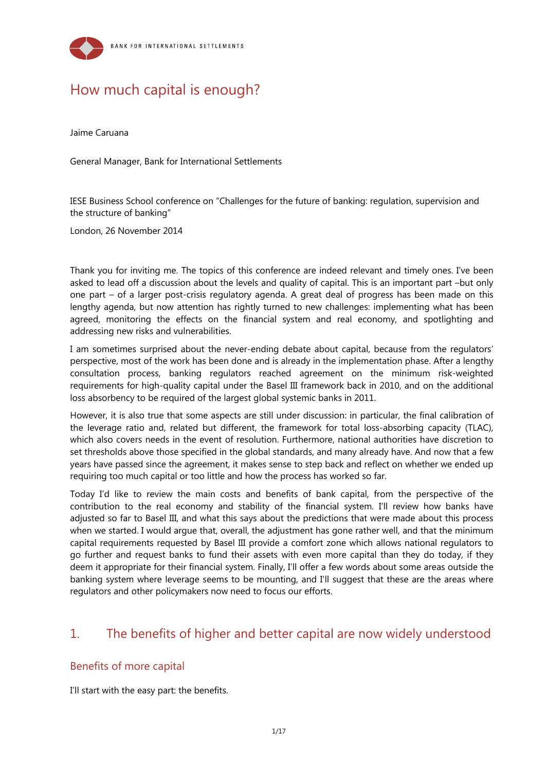

# How much capital is enough?

Jaime Caruana

General Manager, Bank for International Settlements

IESE Business School conference on "Challenges for the future of banking: regulation, supervision and the structure of banking"

London, 26 November 2014

Thank you for inviting me. The topics of this conference are indeed relevant and timely ones. I've been asked to lead off a discussion about the levels and quality of capital. This is an important part –but only one part – of a larger post-crisis regulatory agenda. A great deal of progress has been made on this lengthy agenda, but now attention has rightly turned to new challenges: implementing what has been agreed, monitoring the effects on the financial system and real economy, and spotlighting and addressing new risks and vulnerabilities.

I am sometimes surprised about the never-ending debate about capital, because from the regulators' perspective, most of the work has been done and is already in the implementation phase. After a lengthy consultation process, banking regulators reached agreement on the minimum risk-weighted requirements for high-quality capital under the Basel III framework back in 2010, and on the additional loss absorbency to be required of the largest global systemic banks in 2011.

However, it is also true that some aspects are still under discussion: in particular, the final calibration of the leverage ratio and, related but different, the framework for total loss-absorbing capacity (TLAC), which also covers needs in the event of resolution. Furthermore, national authorities have discretion to set thresholds above those specified in the global standards, and many already have. And now that a few years have passed since the agreement, it makes sense to step back and reflect on whether we ended up requiring too much capital or too little and how the process has worked so far.

Today I'd like to review the main costs and benefits of bank capital, from the perspective of the contribution to the real economy and stability of the financial system. I'll review how banks have adjusted so far to Basel III, and what this says about the predictions that were made about this process when we started. I would argue that, overall, the adjustment has gone rather well, and that the minimum capital requirements requested by Basel III provide a comfort zone which allows national regulators to go further and request banks to fund their assets with even more capital than they do today, if they deem it appropriate for their financial system. Finally, I'll offer a few words about some areas outside the banking system where leverage seems to be mounting, and I'll suggest that these are the areas where regulators and other policymakers now need to focus our efforts.

## 1. The benefits of higher and better capital are now widely understood

## Benefits of more capital

I'll start with the easy part: the benefits.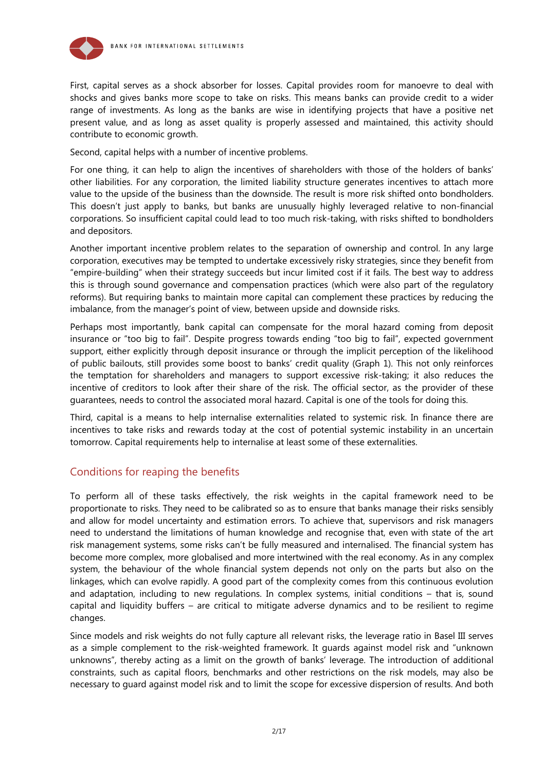

First, capital serves as a shock absorber for losses. Capital provides room for manoevre to deal with shocks and gives banks more scope to take on risks. This means banks can provide credit to a wider range of investments. As long as the banks are wise in identifying projects that have a positive net present value, and as long as asset quality is properly assessed and maintained, this activity should contribute to economic growth.

Second, capital helps with a number of incentive problems.

For one thing, it can help to align the incentives of shareholders with those of the holders of banks' other liabilities. For any corporation, the limited liability structure generates incentives to attach more value to the upside of the business than the downside. The result is more risk shifted onto bondholders. This doesn't just apply to banks, but banks are unusually highly leveraged relative to non-financial corporations. So insufficient capital could lead to too much risk-taking, with risks shifted to bondholders and depositors.

Another important incentive problem relates to the separation of ownership and control. In any large corporation, executives may be tempted to undertake excessively risky strategies, since they benefit from "empire-building" when their strategy succeeds but incur limited cost if it fails. The best way to address this is through sound governance and compensation practices (which were also part of the regulatory reforms). But requiring banks to maintain more capital can complement these practices by reducing the imbalance, from the manager's point of view, between upside and downside risks.

Perhaps most importantly, bank capital can compensate for the moral hazard coming from deposit insurance or "too big to fail". Despite progress towards ending "too big to fail", expected government support, either explicitly through deposit insurance or through the implicit perception of the likelihood of public bailouts, still provides some boost to banks' credit quality (Graph 1). This not only reinforces the temptation for shareholders and managers to support excessive risk-taking; it also reduces the incentive of creditors to look after their share of the risk. The official sector, as the provider of these guarantees, needs to control the associated moral hazard. Capital is one of the tools for doing this.

Third, capital is a means to help internalise externalities related to systemic risk. In finance there are incentives to take risks and rewards today at the cost of potential systemic instability in an uncertain tomorrow. Capital requirements help to internalise at least some of these externalities.

## Conditions for reaping the benefits

To perform all of these tasks effectively, the risk weights in the capital framework need to be proportionate to risks. They need to be calibrated so as to ensure that banks manage their risks sensibly and allow for model uncertainty and estimation errors. To achieve that, supervisors and risk managers need to understand the limitations of human knowledge and recognise that, even with state of the art risk management systems, some risks can't be fully measured and internalised. The financial system has become more complex, more globalised and more intertwined with the real economy. As in any complex system, the behaviour of the whole financial system depends not only on the parts but also on the linkages, which can evolve rapidly. A good part of the complexity comes from this continuous evolution and adaptation, including to new regulations. In complex systems, initial conditions – that is, sound capital and liquidity buffers – are critical to mitigate adverse dynamics and to be resilient to regime changes.

Since models and risk weights do not fully capture all relevant risks, the leverage ratio in Basel III serves as a simple complement to the risk-weighted framework. It guards against model risk and "unknown unknowns", thereby acting as a limit on the growth of banks' leverage. The introduction of additional constraints, such as capital floors, benchmarks and other restrictions on the risk models, may also be necessary to guard against model risk and to limit the scope for excessive dispersion of results. And both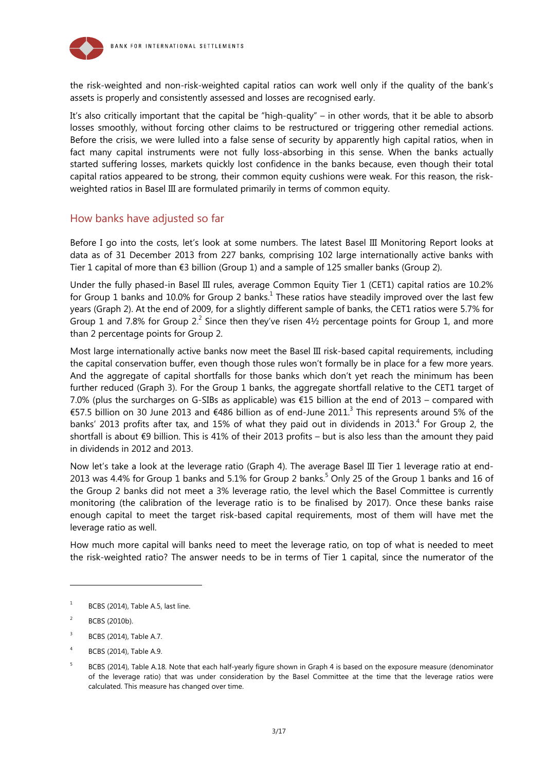

the risk-weighted and non-risk-weighted capital ratios can work well only if the quality of the bank's assets is properly and consistently assessed and losses are recognised early.

It's also critically important that the capital be "high-quality" – in other words, that it be able to absorb losses smoothly, without forcing other claims to be restructured or triggering other remedial actions. Before the crisis, we were lulled into a false sense of security by apparently high capital ratios, when in fact many capital instruments were not fully loss-absorbing in this sense. When the banks actually started suffering losses, markets quickly lost confidence in the banks because, even though their total capital ratios appeared to be strong, their common equity cushions were weak. For this reason, the riskweighted ratios in Basel III are formulated primarily in terms of common equity.

## How banks have adjusted so far

Before I go into the costs, let's look at some numbers. The latest Basel III Monitoring Report looks at data as of 31 December 2013 from 227 banks, comprising 102 large internationally active banks with Tier 1 capital of more than €3 billion (Group 1) and a sample of 125 smaller banks (Group 2).

Under the fully phased-in Basel III rules, average Common Equity Tier 1 (CET1) capital ratios are 10.2% for Group 1 banks and 10.0% for Group 2 banks.<sup>1</sup> These ratios have steadily improved over the last few years (Graph 2). At the end of 2009, for a slightly different sample of banks, the CET1 ratios were 5.7% for Group 1 and 7.8% for Group 2.<sup>2</sup> Since then they've risen 4½ percentage points for Group 1, and more than 2 percentage points for Group 2.

Most large internationally active banks now meet the Basel III risk-based capital requirements, including the capital conservation buffer, even though those rules won't formally be in place for a few more years. And the aggregate of capital shortfalls for those banks which don't yet reach the minimum has been further reduced (Graph 3). For the Group 1 banks, the aggregate shortfall relative to the CET1 target of 7.0% (plus the surcharges on G-SIBs as applicable) was €15 billion at the end of 2013 – compared with €57.5 billion on 30 June 2013 and €486 billion as of end-June 2011.<sup>3</sup> This represents around 5% of the banks' 2013 profits after tax, and 15% of what they paid out in dividends in 2013. $^{4}$  For Group 2, the shortfall is about  $\epsilon$ 9 billion. This is 41% of their 2013 profits – but is also less than the amount they paid in dividends in 2012 and 2013.

Now let's take a look at the leverage ratio (Graph 4). The average Basel III Tier 1 leverage ratio at end-2013 was 4.4% for Group 1 banks and 5.1% for Group 2 banks.<sup>5</sup> Only 25 of the Group 1 banks and 16 of the Group 2 banks did not meet a 3% leverage ratio, the level which the Basel Committee is currently monitoring (the calibration of the leverage ratio is to be finalised by 2017). Once these banks raise enough capital to meet the target risk-based capital requirements, most of them will have met the leverage ratio as well.

How much more capital will banks need to meet the leverage ratio, on top of what is needed to meet the risk-weighted ratio? The answer needs to be in terms of Tier 1 capital, since the numerator of the

l

<sup>1</sup> BCBS (2014), Table A.5, last line.

 $\overline{2}$ BCBS (2010b).

 $\overline{3}$ BCBS (2014), Table A.7.

<sup>4</sup> BCBS (2014), Table A.9.

<sup>5</sup> BCBS (2014), Table A.18. Note that each half-yearly figure shown in Graph 4 is based on the exposure measure (denominator of the leverage ratio) that was under consideration by the Basel Committee at the time that the leverage ratios were calculated. This measure has changed over time.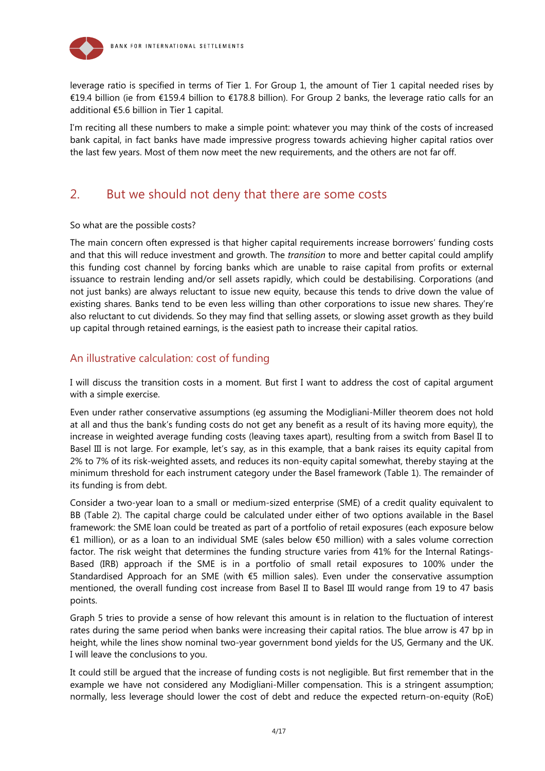

leverage ratio is specified in terms of Tier 1. For Group 1, the amount of Tier 1 capital needed rises by €19.4 billion (ie from €159.4 billion to €178.8 billion). For Group 2 banks, the leverage ratio calls for an additional €5.6 billion in Tier 1 capital.

I'm reciting all these numbers to make a simple point: whatever you may think of the costs of increased bank capital, in fact banks have made impressive progress towards achieving higher capital ratios over the last few years. Most of them now meet the new requirements, and the others are not far off.

## 2. But we should not deny that there are some costs

#### So what are the possible costs?

The main concern often expressed is that higher capital requirements increase borrowers' funding costs and that this will reduce investment and growth. The *transition* to more and better capital could amplify this funding cost channel by forcing banks which are unable to raise capital from profits or external issuance to restrain lending and/or sell assets rapidly, which could be destabilising. Corporations (and not just banks) are always reluctant to issue new equity, because this tends to drive down the value of existing shares. Banks tend to be even less willing than other corporations to issue new shares. They're also reluctant to cut dividends. So they may find that selling assets, or slowing asset growth as they build up capital through retained earnings, is the easiest path to increase their capital ratios.

### An illustrative calculation: cost of funding

I will discuss the transition costs in a moment. But first I want to address the cost of capital argument with a simple exercise.

Even under rather conservative assumptions (eg assuming the Modigliani-Miller theorem does not hold at all and thus the bank's funding costs do not get any benefit as a result of its having more equity), the increase in weighted average funding costs (leaving taxes apart), resulting from a switch from Basel II to Basel III is not large. For example, let's say, as in this example, that a bank raises its equity capital from 2% to 7% of its risk-weighted assets, and reduces its non-equity capital somewhat, thereby staying at the minimum threshold for each instrument category under the Basel framework (Table 1). The remainder of its funding is from debt.

Consider a two-year loan to a small or medium-sized enterprise (SME) of a credit quality equivalent to BB (Table 2). The capital charge could be calculated under either of two options available in the Basel framework: the SME loan could be treated as part of a portfolio of retail exposures (each exposure below €1 million), or as a loan to an individual SME (sales below €50 million) with a sales volume correction factor. The risk weight that determines the funding structure varies from 41% for the Internal Ratings-Based (IRB) approach if the SME is in a portfolio of small retail exposures to 100% under the Standardised Approach for an SME (with €5 million sales). Even under the conservative assumption mentioned, the overall funding cost increase from Basel II to Basel III would range from 19 to 47 basis points.

Graph 5 tries to provide a sense of how relevant this amount is in relation to the fluctuation of interest rates during the same period when banks were increasing their capital ratios. The blue arrow is 47 bp in height, while the lines show nominal two-year government bond yields for the US, Germany and the UK. I will leave the conclusions to you.

It could still be argued that the increase of funding costs is not negligible. But first remember that in the example we have not considered any Modigliani-Miller compensation. This is a stringent assumption; normally, less leverage should lower the cost of debt and reduce the expected return-on-equity (RoE)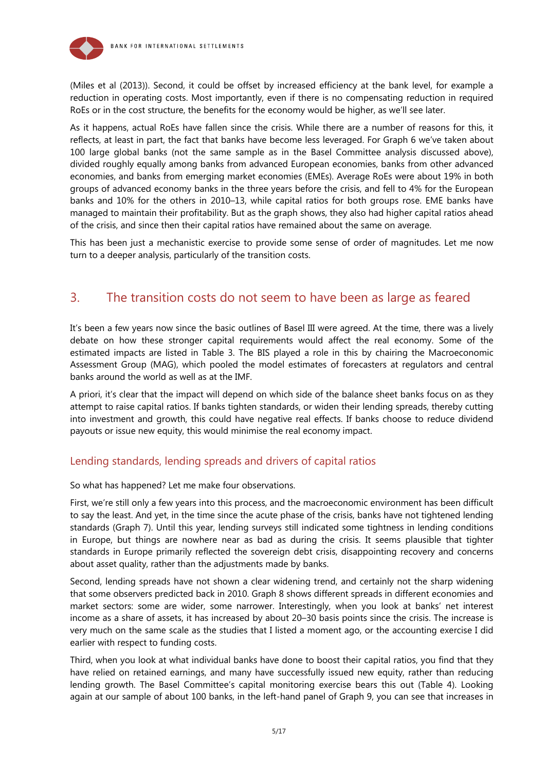

(Miles et al (2013)). Second, it could be offset by increased efficiency at the bank level, for example a reduction in operating costs. Most importantly, even if there is no compensating reduction in required RoEs or in the cost structure, the benefits for the economy would be higher, as we'll see later.

As it happens, actual RoEs have fallen since the crisis. While there are a number of reasons for this, it reflects, at least in part, the fact that banks have become less leveraged. For Graph 6 we've taken about 100 large global banks (not the same sample as in the Basel Committee analysis discussed above), divided roughly equally among banks from advanced European economies, banks from other advanced economies, and banks from emerging market economies (EMEs). Average RoEs were about 19% in both groups of advanced economy banks in the three years before the crisis, and fell to 4% for the European banks and 10% for the others in 2010–13, while capital ratios for both groups rose. EME banks have managed to maintain their profitability. But as the graph shows, they also had higher capital ratios ahead of the crisis, and since then their capital ratios have remained about the same on average.

This has been just a mechanistic exercise to provide some sense of order of magnitudes. Let me now turn to a deeper analysis, particularly of the transition costs.

## 3. The transition costs do not seem to have been as large as feared

It's been a few years now since the basic outlines of Basel III were agreed. At the time, there was a lively debate on how these stronger capital requirements would affect the real economy. Some of the estimated impacts are listed in Table 3. The BIS played a role in this by chairing the Macroeconomic Assessment Group (MAG), which pooled the model estimates of forecasters at regulators and central banks around the world as well as at the IMF.

A priori, it's clear that the impact will depend on which side of the balance sheet banks focus on as they attempt to raise capital ratios. If banks tighten standards, or widen their lending spreads, thereby cutting into investment and growth, this could have negative real effects. If banks choose to reduce dividend payouts or issue new equity, this would minimise the real economy impact.

## Lending standards, lending spreads and drivers of capital ratios

So what has happened? Let me make four observations.

First, we're still only a few years into this process, and the macroeconomic environment has been difficult to say the least. And yet, in the time since the acute phase of the crisis, banks have not tightened lending standards (Graph 7). Until this year, lending surveys still indicated some tightness in lending conditions in Europe, but things are nowhere near as bad as during the crisis. It seems plausible that tighter standards in Europe primarily reflected the sovereign debt crisis, disappointing recovery and concerns about asset quality, rather than the adjustments made by banks.

Second, lending spreads have not shown a clear widening trend, and certainly not the sharp widening that some observers predicted back in 2010. Graph 8 shows different spreads in different economies and market sectors: some are wider, some narrower. Interestingly, when you look at banks' net interest income as a share of assets, it has increased by about 20–30 basis points since the crisis. The increase is very much on the same scale as the studies that I listed a moment ago, or the accounting exercise I did earlier with respect to funding costs.

Third, when you look at what individual banks have done to boost their capital ratios, you find that they have relied on retained earnings, and many have successfully issued new equity, rather than reducing lending growth. The Basel Committee's capital monitoring exercise bears this out (Table 4). Looking again at our sample of about 100 banks, in the left-hand panel of Graph 9, you can see that increases in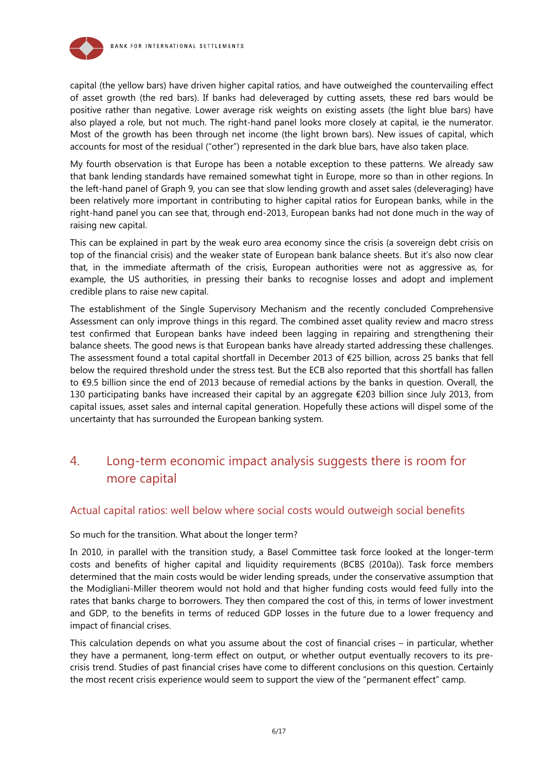



capital (the yellow bars) have driven higher capital ratios, and have outweighed the countervailing effect of asset growth (the red bars). If banks had deleveraged by cutting assets, these red bars would be positive rather than negative. Lower average risk weights on existing assets (the light blue bars) have also played a role, but not much. The right-hand panel looks more closely at capital, ie the numerator. Most of the growth has been through net income (the light brown bars). New issues of capital, which accounts for most of the residual ("other") represented in the dark blue bars, have also taken place.

My fourth observation is that Europe has been a notable exception to these patterns. We already saw that bank lending standards have remained somewhat tight in Europe, more so than in other regions. In the left-hand panel of Graph 9, you can see that slow lending growth and asset sales (deleveraging) have been relatively more important in contributing to higher capital ratios for European banks, while in the right-hand panel you can see that, through end-2013, European banks had not done much in the way of raising new capital.

This can be explained in part by the weak euro area economy since the crisis (a sovereign debt crisis on top of the financial crisis) and the weaker state of European bank balance sheets. But it's also now clear that, in the immediate aftermath of the crisis, European authorities were not as aggressive as, for example, the US authorities, in pressing their banks to recognise losses and adopt and implement credible plans to raise new capital.

The establishment of the Single Supervisory Mechanism and the recently concluded Comprehensive Assessment can only improve things in this regard. The combined asset quality review and macro stress test confirmed that European banks have indeed been lagging in repairing and strengthening their balance sheets. The good news is that European banks have already started addressing these challenges. The assessment found a total capital shortfall in December 2013 of €25 billion, across 25 banks that fell below the required threshold under the stress test. But the ECB also reported that this shortfall has fallen to €9.5 billion since the end of 2013 because of remedial actions by the banks in question. Overall, the 130 participating banks have increased their capital by an aggregate €203 billion since July 2013, from capital issues, asset sales and internal capital generation. Hopefully these actions will dispel some of the uncertainty that has surrounded the European banking system.

## 4. Long-term economic impact analysis suggests there is room for more capital

## Actual capital ratios: well below where social costs would outweigh social benefits

#### So much for the transition. What about the longer term?

In 2010, in parallel with the transition study, a Basel Committee task force looked at the longer-term costs and benefits of higher capital and liquidity requirements (BCBS (2010a)). Task force members determined that the main costs would be wider lending spreads, under the conservative assumption that the Modigliani-Miller theorem would not hold and that higher funding costs would feed fully into the rates that banks charge to borrowers. They then compared the cost of this, in terms of lower investment and GDP, to the benefits in terms of reduced GDP losses in the future due to a lower frequency and impact of financial crises.

This calculation depends on what you assume about the cost of financial crises – in particular, whether they have a permanent, long-term effect on output, or whether output eventually recovers to its precrisis trend. Studies of past financial crises have come to different conclusions on this question. Certainly the most recent crisis experience would seem to support the view of the "permanent effect" camp.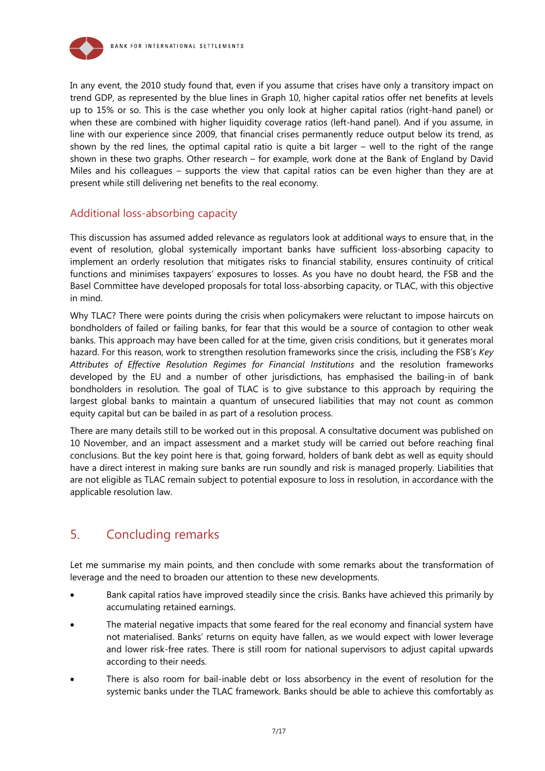

In any event, the 2010 study found that, even if you assume that crises have only a transitory impact on trend GDP, as represented by the blue lines in Graph 10, higher capital ratios offer net benefits at levels up to 15% or so. This is the case whether you only look at higher capital ratios (right-hand panel) or when these are combined with higher liquidity coverage ratios (left-hand panel). And if you assume, in line with our experience since 2009, that financial crises permanently reduce output below its trend, as shown by the red lines, the optimal capital ratio is quite a bit larger – well to the right of the range shown in these two graphs. Other research – for example, work done at the Bank of England by David Miles and his colleagues – supports the view that capital ratios can be even higher than they are at present while still delivering net benefits to the real economy.

## Additional loss-absorbing capacity

This discussion has assumed added relevance as regulators look at additional ways to ensure that, in the event of resolution, global systemically important banks have sufficient loss-absorbing capacity to implement an orderly resolution that mitigates risks to financial stability, ensures continuity of critical functions and minimises taxpayers' exposures to losses. As you have no doubt heard, the FSB and the Basel Committee have developed proposals for total loss-absorbing capacity, or TLAC, with this objective in mind.

Why TLAC? There were points during the crisis when policymakers were reluctant to impose haircuts on bondholders of failed or failing banks, for fear that this would be a source of contagion to other weak banks. This approach may have been called for at the time, given crisis conditions, but it generates moral hazard. For this reason, work to strengthen resolution frameworks since the crisis, including the FSB's *Key Attributes of Effective Resolution Regimes for Financial Institutions* and the resolution frameworks developed by the EU and a number of other jurisdictions, has emphasised the bailing-in of bank bondholders in resolution. The goal of TLAC is to give substance to this approach by requiring the largest global banks to maintain a quantum of unsecured liabilities that may not count as common equity capital but can be bailed in as part of a resolution process.

There are many details still to be worked out in this proposal. A consultative document was published on 10 November, and an impact assessment and a market study will be carried out before reaching final conclusions. But the key point here is that, going forward, holders of bank debt as well as equity should have a direct interest in making sure banks are run soundly and risk is managed properly. Liabilities that are not eligible as TLAC remain subject to potential exposure to loss in resolution, in accordance with the applicable resolution law.

## 5. Concluding remarks

Let me summarise my main points, and then conclude with some remarks about the transformation of leverage and the need to broaden our attention to these new developments.

- Bank capital ratios have improved steadily since the crisis. Banks have achieved this primarily by accumulating retained earnings.
- The material negative impacts that some feared for the real economy and financial system have not materialised. Banks' returns on equity have fallen, as we would expect with lower leverage and lower risk-free rates. There is still room for national supervisors to adjust capital upwards according to their needs.
- There is also room for bail-inable debt or loss absorbency in the event of resolution for the systemic banks under the TLAC framework. Banks should be able to achieve this comfortably as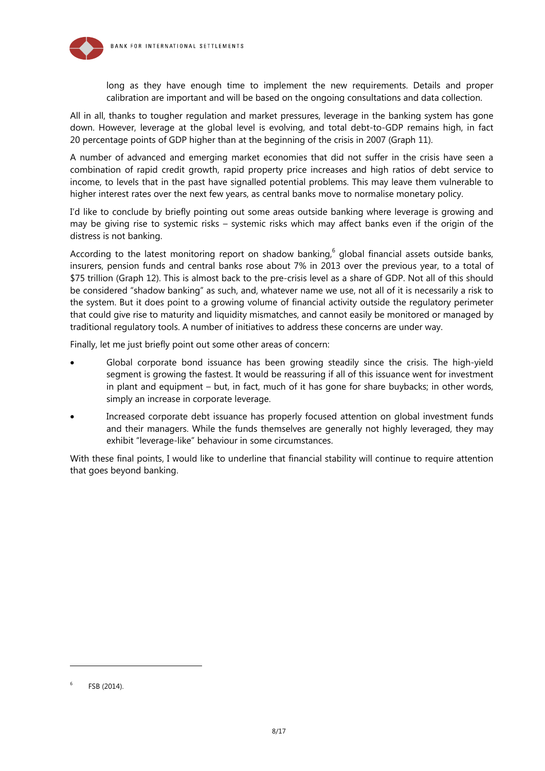

long as they have enough time to implement the new requirements. Details and proper calibration are important and will be based on the ongoing consultations and data collection.

All in all, thanks to tougher regulation and market pressures, leverage in the banking system has gone down. However, leverage at the global level is evolving, and total debt-to-GDP remains high, in fact 20 percentage points of GDP higher than at the beginning of the crisis in 2007 (Graph 11).

A number of advanced and emerging market economies that did not suffer in the crisis have seen a combination of rapid credit growth, rapid property price increases and high ratios of debt service to income, to levels that in the past have signalled potential problems. This may leave them vulnerable to higher interest rates over the next few years, as central banks move to normalise monetary policy.

I'd like to conclude by briefly pointing out some areas outside banking where leverage is growing and may be giving rise to systemic risks – systemic risks which may affect banks even if the origin of the distress is not banking.

According to the latest monitoring report on shadow banking,  $6$  global financial assets outside banks, insurers, pension funds and central banks rose about 7% in 2013 over the previous year, to a total of \$75 trillion (Graph 12). This is almost back to the pre-crisis level as a share of GDP. Not all of this should be considered "shadow banking" as such, and, whatever name we use, not all of it is necessarily a risk to the system. But it does point to a growing volume of financial activity outside the regulatory perimeter that could give rise to maturity and liquidity mismatches, and cannot easily be monitored or managed by traditional regulatory tools. A number of initiatives to address these concerns are under way.

Finally, let me just briefly point out some other areas of concern:

- Global corporate bond issuance has been growing steadily since the crisis. The high-yield segment is growing the fastest. It would be reassuring if all of this issuance went for investment in plant and equipment – but, in fact, much of it has gone for share buybacks; in other words, simply an increase in corporate leverage.
- Increased corporate debt issuance has properly focused attention on global investment funds and their managers. While the funds themselves are generally not highly leveraged, they may exhibit "leverage-like" behaviour in some circumstances.

With these final points, I would like to underline that financial stability will continue to require attention that goes beyond banking.

l

<sup>6</sup> FSB (2014).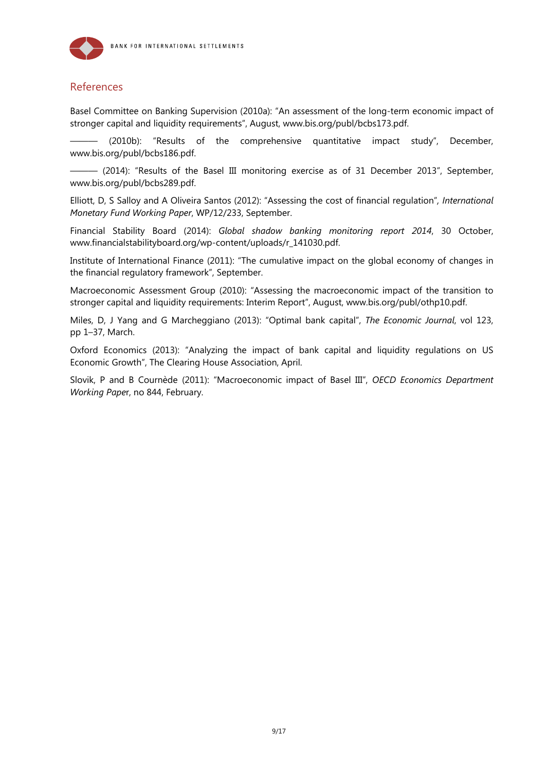

## References

Basel Committee on Banking Supervision (2010a): "An assessment of the long-term economic impact of stronger capital and liquidity requirements", August, www.bis.org/publ/bcbs173.pdf.

 $(2010b)$ : "Results of the comprehensive quantitative impact study", December, www.bis.org/publ/bcbs186.pdf.

 $-$  (2014): "Results of the Basel III monitoring exercise as of 31 December 2013", September, www.bis.org/publ/bcbs289.pdf.

Elliott, D, S Salloy and A Oliveira Santos (2012): "Assessing the cost of financial regulation"*, International Monetary Fund Working Paper*, WP/12/233, September.

Financial Stability Board (2014): *Global shadow banking monitoring report 2014*, 30 October, www.financialstabilityboard.org/wp-content/uploads/r\_141030.pdf.

Institute of International Finance (2011): "The cumulative impact on the global economy of changes in the financial regulatory framework", September.

Macroeconomic Assessment Group (2010): "Assessing the macroeconomic impact of the transition to stronger capital and liquidity requirements: Interim Report", August, www.bis.org/publ/othp10.pdf.

Miles, D, J Yang and G Marcheggiano (2013): "Optimal bank capital", *The Economic Journal*, vol 123, pp 1–37, March.

Oxford Economics (2013): "Analyzing the impact of bank capital and liquidity regulations on US Economic Growth", The Clearing House Association, April.

Slovik, P and B Cournède (2011): "Macroeconomic impact of Basel III", *OECD Economics Department Working Pape*r, no 844, February.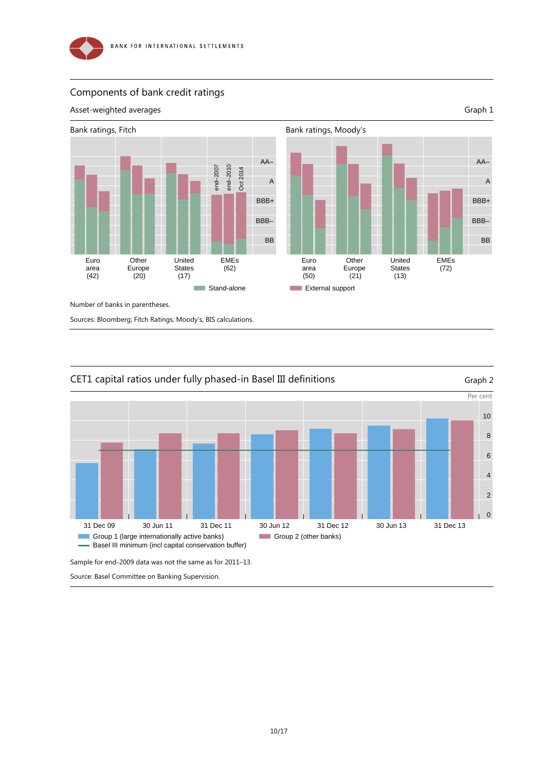

## Components of bank credit ratings





Group 2 (other banks)

## CET1 capital ratios under fully phased-in Basel III definitions Graph 2

Sample for end-2009 data was not the same as for 2011–13.

Basel III minimum (incl capital conservation buffer)

Source: Basel Committee on Banking Supervision.

Group 1 (large internationally active banks)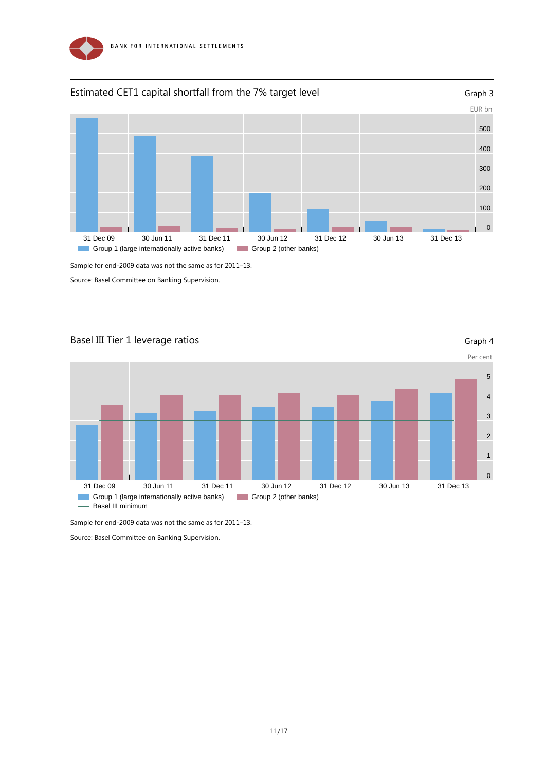



Source: Basel Committee on Banking Supervision.



Sample for end-2009 data was not the same as for 2011–13.

Source: Basel Committee on Banking Supervision.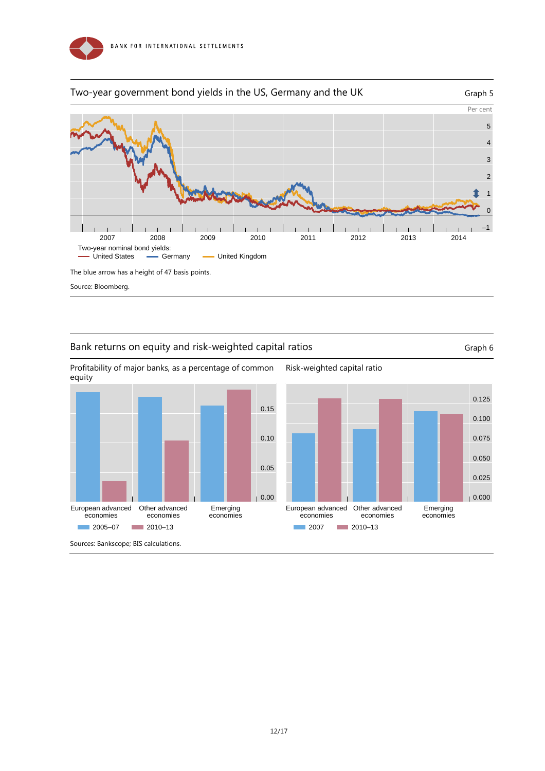



Source: Bloomberg.

## Bank returns on equity and risk-weighted capital ratios Graph 6 Graph 6



Risk-weighted capital ratio

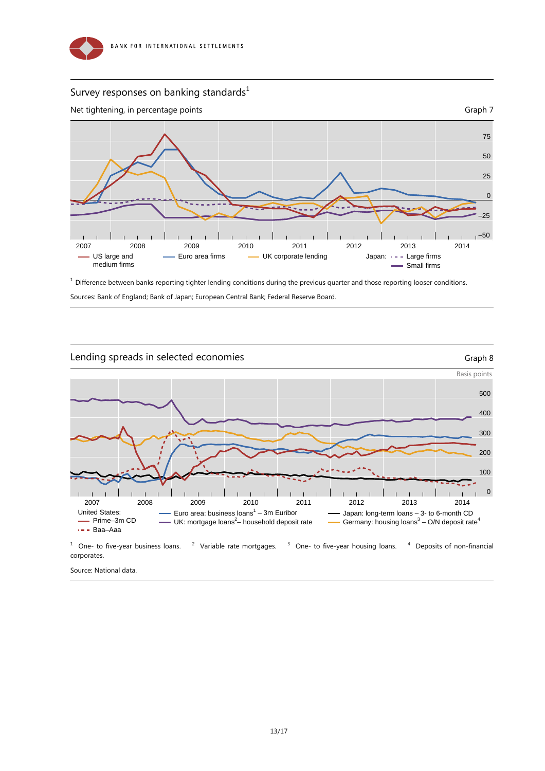

## Survey responses on banking standards $^1$



 $1$  Difference between banks reporting tighter lending conditions during the previous quarter and those reporting looser conditions.

Sources: Bank of England; Bank of Japan; European Central Bank; Federal Reserve Board.



Source: National data.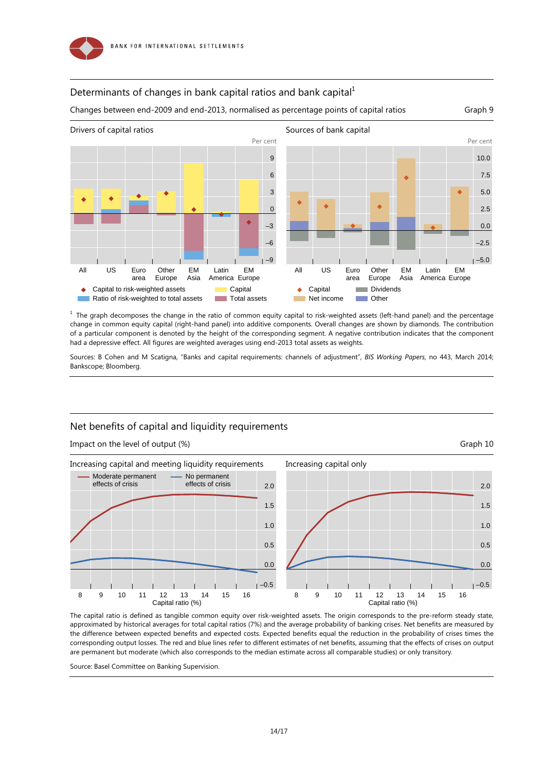

## Determinants of changes in bank capital ratios and bank capital $1$

Changes between end-2009 and end-2013, normalised as percentage points of capital ratios Graph 9



 $<sup>1</sup>$  The graph decomposes the change in the ratio of common equity capital to risk-weighted assets (left-hand panel) and the percentage</sup> change in common equity capital (right-hand panel) into additive components. Overall changes are shown by diamonds. The contribution of a particular component is denoted by the height of the corresponding segment. A negative contribution indicates that the component had a depressive effect. All figures are weighted averages using end-2013 total assets as weights.

Sources: B Cohen and M Scatigna, "Banks and capital requirements: channels of adjustment", *BIS Working Papers*, no 443, March 2014; Bankscope; Bloomberg.

### Net benefits of capital and liquidity requirements

Impact on the level of output (%) Graph 10



The capital ratio is defined as tangible common equity over risk-weighted assets. The origin corresponds to the pre-reform steady state, approximated by historical averages for total capital ratios (7%) and the average probability of banking crises. Net benefits are measured by the difference between expected benefits and expected costs. Expected benefits equal the reduction in the probability of crises times the corresponding output losses. The red and blue lines refer to different estimates of net benefits, assuming that the effects of crises on output are permanent but moderate (which also corresponds to the median estimate across all comparable studies) or only transitory.

Source: Basel Committee on Banking Supervision.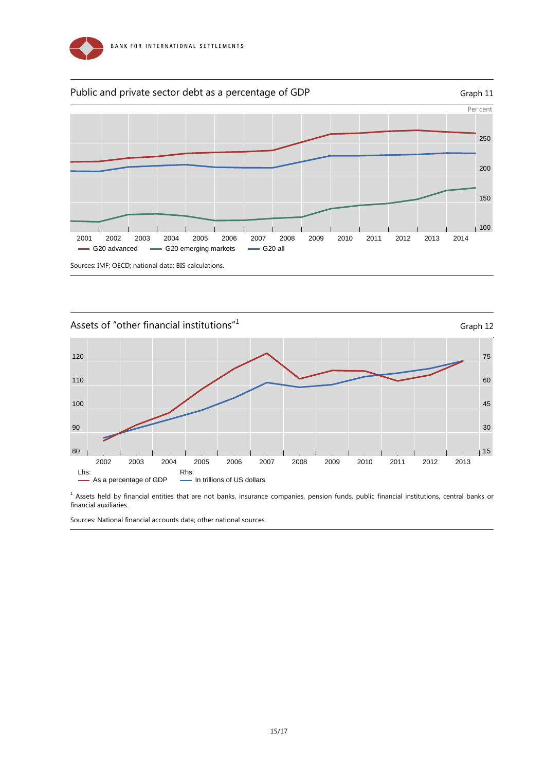





<sup>1</sup> Assets held by financial entities that are not banks, insurance companies, pension funds, public financial institutions, central banks or financial auxiliaries.

Sources: National financial accounts data; other national sources.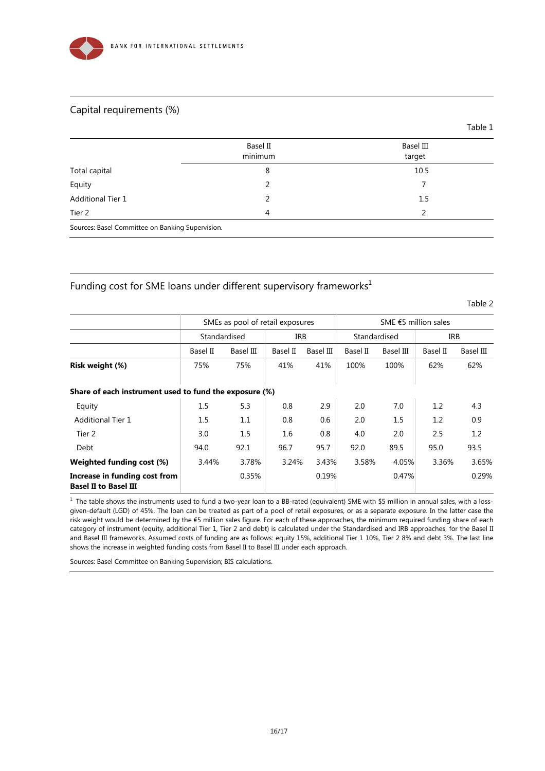

## Capital requirements (%)

|                                                  | Basel II | Basel III |
|--------------------------------------------------|----------|-----------|
|                                                  | minimum  | target    |
| Total capital                                    | 8        | 10.5      |
| Equity                                           |          |           |
| <b>Additional Tier 1</b>                         | 2        | 1.5       |
| Tier 2                                           | 4        | 2         |
| Sources: Basel Committee on Banking Supervision. |          |           |

## Funding cost for SME loans under different supervisory frameworks $1$

Table 2

Table 1

|                                                               | SMEs as pool of retail exposures |           |          |           | SME $65$ million sales |           |          |           |
|---------------------------------------------------------------|----------------------------------|-----------|----------|-----------|------------------------|-----------|----------|-----------|
|                                                               | Standardised                     |           | IRB      |           | Standardised           |           | IRB      |           |
|                                                               | Basel II                         | Basel III | Basel II | Basel III | Basel II               | Basel III | Basel II | Basel III |
| Risk weight (%)                                               | 75%                              | 75%       | 41%      | 41%       | 100%                   | 100%      | 62%      | 62%       |
| Share of each instrument used to fund the exposure (%)        |                                  |           |          |           |                        |           |          |           |
| Equity                                                        | 1.5                              | 5.3       | 0.8      | 2.9       | 2.0                    | 7.0       | 1.2      | 4.3       |
| <b>Additional Tier 1</b>                                      | 1.5                              | 1.1       | 0.8      | 0.6       | 2.0                    | 1.5       | 1.2      | 0.9       |
| Tier 2                                                        | 3.0                              | 1.5       | 1.6      | 0.8       | 4.0                    | 2.0       | 2.5      | 1.2       |
| Debt                                                          | 94.0                             | 92.1      | 96.7     | 95.7      | 92.0                   | 89.5      | 95.0     | 93.5      |
| Weighted funding cost (%)                                     | 3.44%                            | 3.78%     | 3.24%    | 3.43%     | 3.58%                  | 4.05%     | 3.36%    | 3.65%     |
| Increase in funding cost from<br><b>Basel II to Basel III</b> |                                  | 0.35%     |          | 0.19%     |                        | 0.47%     |          | 0.29%     |

 $1$  The table shows the instruments used to fund a two-year loan to a BB-rated (equivalent) SME with \$5 million in annual sales, with a lossgiven-default (LGD) of 45%. The loan can be treated as part of a pool of retail exposures, or as a separate exposure. In the latter case the risk weight would be determined by the €5 million sales figure. For each of these approaches, the minimum required funding share of each category of instrument (equity, additional Tier 1, Tier 2 and debt) is calculated under the Standardised and IRB approaches, for the Basel II and Basel III frameworks. Assumed costs of funding are as follows: equity 15%, additional Tier 1 10%, Tier 2 8% and debt 3%. The last line shows the increase in weighted funding costs from Basel II to Basel III under each approach.

Sources: Basel Committee on Banking Supervision; BIS calculations.